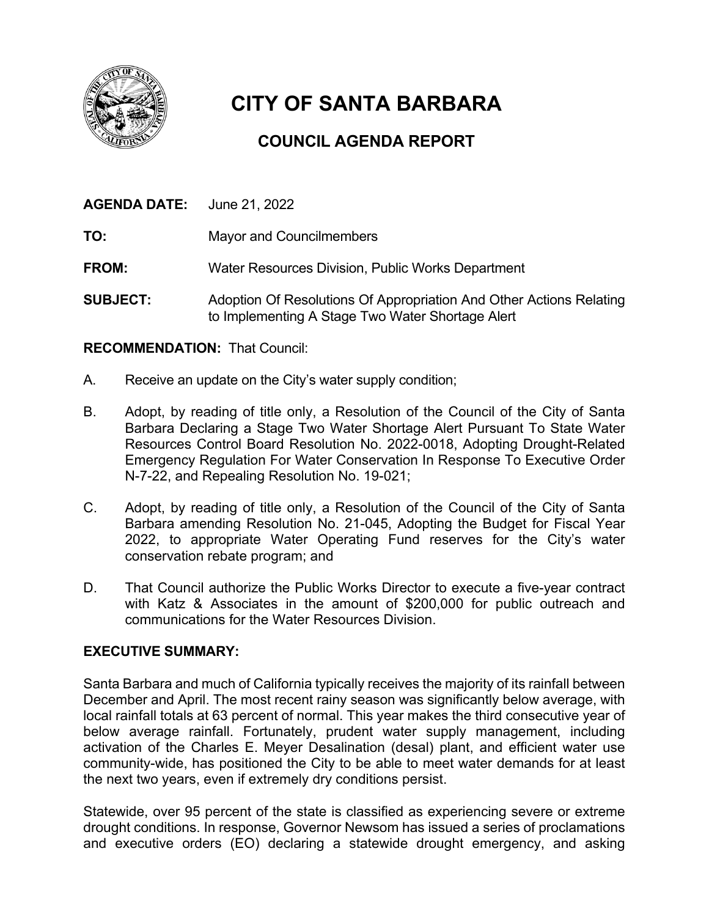

# **CITY OF SANTA BARBARA**

## **COUNCIL AGENDA REPORT**

| <b>AGENDA DATE:</b> June 21, 2022 |                                                   |
|-----------------------------------|---------------------------------------------------|
| TO:                               | <b>Mayor and Councilmembers</b>                   |
| <b>FROM:</b>                      | Water Resources Division, Public Works Department |
| AUD 1887                          |                                                   |

**SUBJECT:** Adoption Of Resolutions Of Appropriation And Other Actions Relating to Implementing A Stage Two Water Shortage Alert

#### **RECOMMENDATION:** That Council:

- A. Receive an update on the City's water supply condition;
- B. Adopt, by reading of title only, a Resolution of the Council of the City of Santa Barbara Declaring a Stage Two Water Shortage Alert Pursuant To State Water Resources Control Board Resolution No. 2022-0018, Adopting Drought-Related Emergency Regulation For Water Conservation In Response To Executive Order N-7-22, and Repealing Resolution No. 19-021;
- C. Adopt, by reading of title only, a Resolution of the Council of the City of Santa Barbara amending Resolution No. 21-045, Adopting the Budget for Fiscal Year 2022, to appropriate Water Operating Fund reserves for the City's water conservation rebate program; and
- D. That Council authorize the Public Works Director to execute a five-year contract with Katz & Associates in the amount of \$200,000 for public outreach and communications for the Water Resources Division.

#### **EXECUTIVE SUMMARY:**

Santa Barbara and much of California typically receives the majority of its rainfall between December and April. The most recent rainy season was significantly below average, with local rainfall totals at 63 percent of normal. This year makes the third consecutive year of below average rainfall. Fortunately, prudent water supply management, including activation of the Charles E. Meyer Desalination (desal) plant, and efficient water use community-wide, has positioned the City to be able to meet water demands for at least the next two years, even if extremely dry conditions persist.

Statewide, over 95 percent of the state is classified as experiencing severe or extreme drought conditions. In response, Governor Newsom has issued a series of proclamations and executive orders (EO) declaring a statewide drought emergency, and asking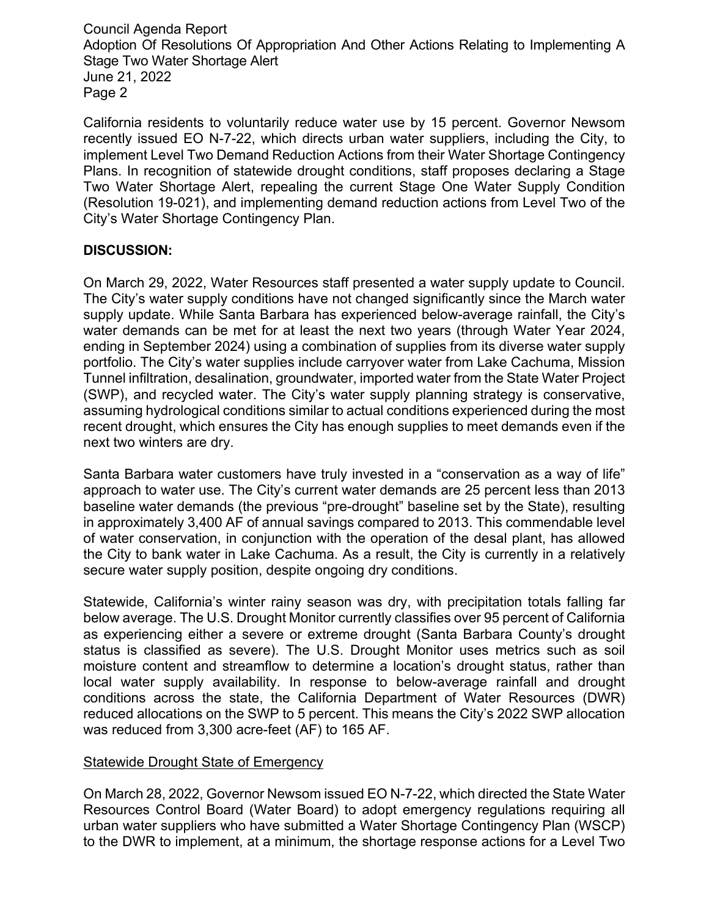California residents to voluntarily reduce water use by 15 percent. Governor Newsom recently issued EO N-7-22, which directs urban water suppliers, including the City, to implement Level Two Demand Reduction Actions from their Water Shortage Contingency Plans. In recognition of statewide drought conditions, staff proposes declaring a Stage Two Water Shortage Alert, repealing the current Stage One Water Supply Condition (Resolution 19-021), and implementing demand reduction actions from Level Two of the City's Water Shortage Contingency Plan.

#### **DISCUSSION:**

On March 29, 2022, Water Resources staff presented a water supply update to Council. The City's water supply conditions have not changed significantly since the March water supply update. While Santa Barbara has experienced below-average rainfall, the City's water demands can be met for at least the next two years (through Water Year 2024, ending in September 2024) using a combination of supplies from its diverse water supply portfolio. The City's water supplies include carryover water from Lake Cachuma, Mission Tunnel infiltration, desalination, groundwater, imported water from the State Water Project (SWP), and recycled water. The City's water supply planning strategy is conservative, assuming hydrological conditions similar to actual conditions experienced during the most recent drought, which ensures the City has enough supplies to meet demands even if the next two winters are dry.

Santa Barbara water customers have truly invested in a "conservation as a way of life" approach to water use. The City's current water demands are 25 percent less than 2013 baseline water demands (the previous "pre-drought" baseline set by the State), resulting in approximately 3,400 AF of annual savings compared to 2013. This commendable level of water conservation, in conjunction with the operation of the desal plant, has allowed the City to bank water in Lake Cachuma. As a result, the City is currently in a relatively secure water supply position, despite ongoing dry conditions.

Statewide, California's winter rainy season was dry, with precipitation totals falling far below average. The U.S. Drought Monitor currently classifies over 95 percent of California as experiencing either a severe or extreme drought (Santa Barbara County's drought status is classified as severe). The U.S. Drought Monitor uses metrics such as soil moisture content and streamflow to determine a location's drought status, rather than local water supply availability. In response to below-average rainfall and drought conditions across the state, the California Department of Water Resources (DWR) reduced allocations on the SWP to 5 percent. This means the City's 2022 SWP allocation was reduced from 3,300 acre-feet (AF) to 165 AF.

#### Statewide Drought State of Emergency

On March 28, 2022, Governor Newsom issued EO N-7-22, which directed the State Water Resources Control Board (Water Board) to adopt emergency regulations requiring all urban water suppliers who have submitted a Water Shortage Contingency Plan (WSCP) to the DWR to implement, at a minimum, the shortage response actions for a Level Two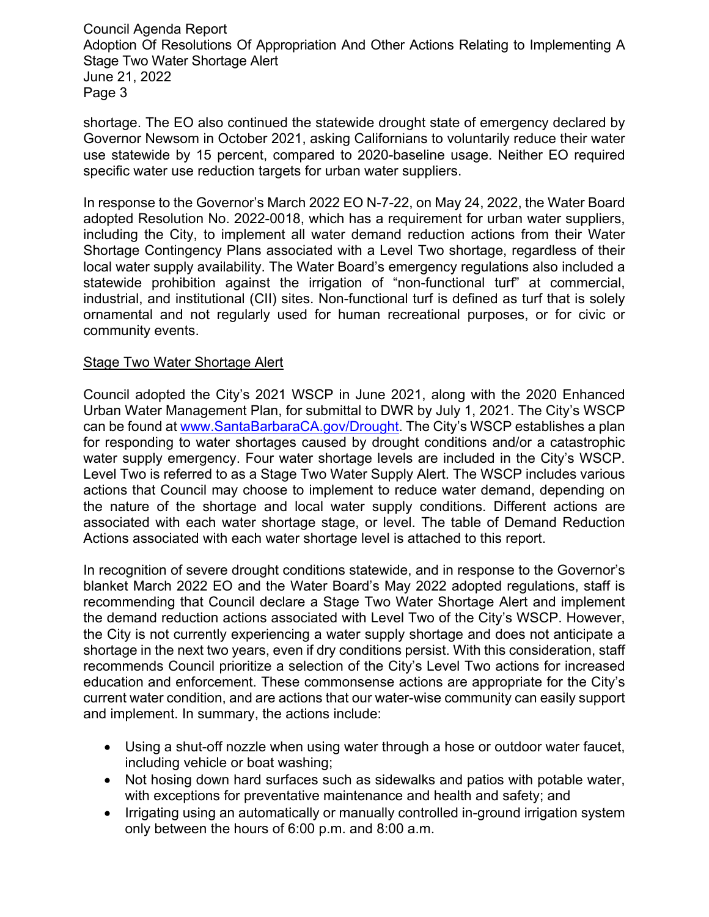shortage. The EO also continued the statewide drought state of emergency declared by Governor Newsom in October 2021, asking Californians to voluntarily reduce their water use statewide by 15 percent, compared to 2020-baseline usage. Neither EO required specific water use reduction targets for urban water suppliers.

In response to the Governor's March 2022 EO N-7-22, on May 24, 2022, the Water Board adopted Resolution No. 2022-0018, which has a requirement for urban water suppliers, including the City, to implement all water demand reduction actions from their Water Shortage Contingency Plans associated with a Level Two shortage, regardless of their local water supply availability. The Water Board's emergency regulations also included a statewide prohibition against the irrigation of "non-functional turf" at commercial, industrial, and institutional (CII) sites. Non-functional turf is defined as turf that is solely ornamental and not regularly used for human recreational purposes, or for civic or community events.

#### Stage Two Water Shortage Alert

Council adopted the City's 2021 WSCP in June 2021, along with the 2020 Enhanced Urban Water Management Plan, for submittal to DWR by July 1, 2021. The City's WSCP can be found at [www.SantaBarbaraCA.gov/Drought.](http://www.santabarbaraca.gov/Drought) The City's WSCP establishes a plan for responding to water shortages caused by drought conditions and/or a catastrophic water supply emergency. Four water shortage levels are included in the City's WSCP. Level Two is referred to as a Stage Two Water Supply Alert. The WSCP includes various actions that Council may choose to implement to reduce water demand, depending on the nature of the shortage and local water supply conditions. Different actions are associated with each water shortage stage, or level. The table of Demand Reduction Actions associated with each water shortage level is attached to this report.

In recognition of severe drought conditions statewide, and in response to the Governor's blanket March 2022 EO and the Water Board's May 2022 adopted regulations, staff is recommending that Council declare a Stage Two Water Shortage Alert and implement the demand reduction actions associated with Level Two of the City's WSCP. However, the City is not currently experiencing a water supply shortage and does not anticipate a shortage in the next two years, even if dry conditions persist. With this consideration, staff recommends Council prioritize a selection of the City's Level Two actions for increased education and enforcement. These commonsense actions are appropriate for the City's current water condition, and are actions that our water-wise community can easily support and implement. In summary, the actions include:

- Using a shut-off nozzle when using water through a hose or outdoor water faucet, including vehicle or boat washing;
- Not hosing down hard surfaces such as sidewalks and patios with potable water, with exceptions for preventative maintenance and health and safety; and
- Irrigating using an automatically or manually controlled in-ground irrigation system only between the hours of 6:00 p.m. and 8:00 a.m.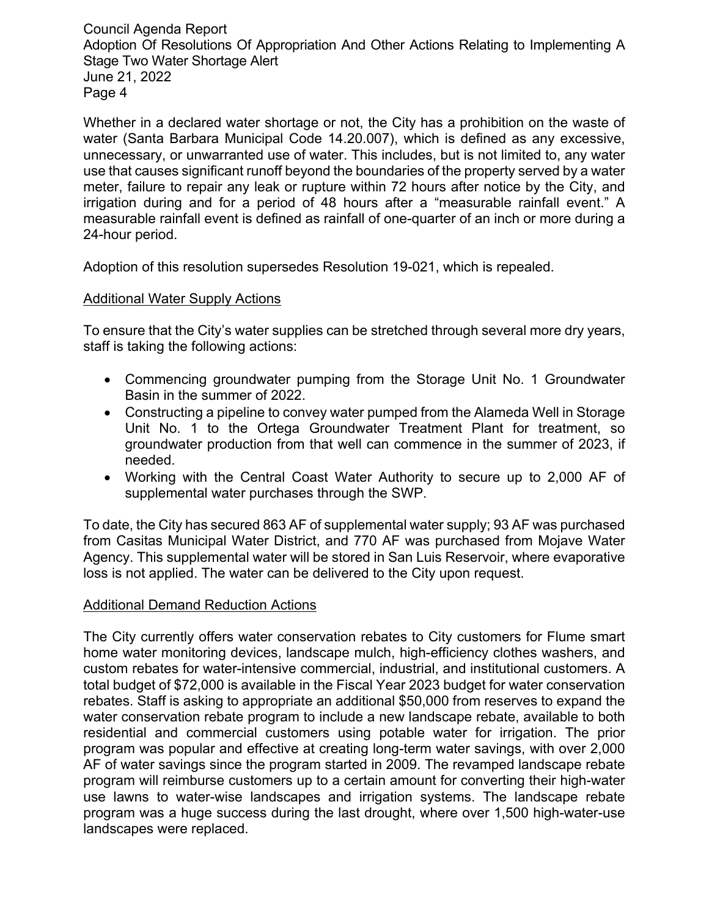Whether in a declared water shortage or not, the City has a prohibition on the waste of water (Santa Barbara Municipal Code 14.20.007), which is defined as any excessive, unnecessary, or unwarranted use of water. This includes, but is not limited to, any water use that causes significant runoff beyond the boundaries of the property served by a water meter, failure to repair any leak or rupture within 72 hours after notice by the City, and irrigation during and for a period of 48 hours after a "measurable rainfall event." A measurable rainfall event is defined as rainfall of one-quarter of an inch or more during a 24-hour period.

Adoption of this resolution supersedes Resolution 19-021, which is repealed.

#### Additional Water Supply Actions

To ensure that the City's water supplies can be stretched through several more dry years, staff is taking the following actions:

- Commencing groundwater pumping from the Storage Unit No. 1 Groundwater Basin in the summer of 2022.
- Constructing a pipeline to convey water pumped from the Alameda Well in Storage Unit No. 1 to the Ortega Groundwater Treatment Plant for treatment, so groundwater production from that well can commence in the summer of 2023, if needed.
- Working with the Central Coast Water Authority to secure up to 2,000 AF of supplemental water purchases through the SWP.

To date, the City has secured 863 AF of supplemental water supply; 93 AF was purchased from Casitas Municipal Water District, and 770 AF was purchased from Mojave Water Agency. This supplemental water will be stored in San Luis Reservoir, where evaporative loss is not applied. The water can be delivered to the City upon request.

### Additional Demand Reduction Actions

The City currently offers water conservation rebates to City customers for Flume smart home water monitoring devices, landscape mulch, high-efficiency clothes washers, and custom rebates for water-intensive commercial, industrial, and institutional customers. A total budget of \$72,000 is available in the Fiscal Year 2023 budget for water conservation rebates. Staff is asking to appropriate an additional \$50,000 from reserves to expand the water conservation rebate program to include a new landscape rebate, available to both residential and commercial customers using potable water for irrigation. The prior program was popular and effective at creating long-term water savings, with over 2,000 AF of water savings since the program started in 2009. The revamped landscape rebate program will reimburse customers up to a certain amount for converting their high-water use lawns to water-wise landscapes and irrigation systems. The landscape rebate program was a huge success during the last drought, where over 1,500 high-water-use landscapes were replaced.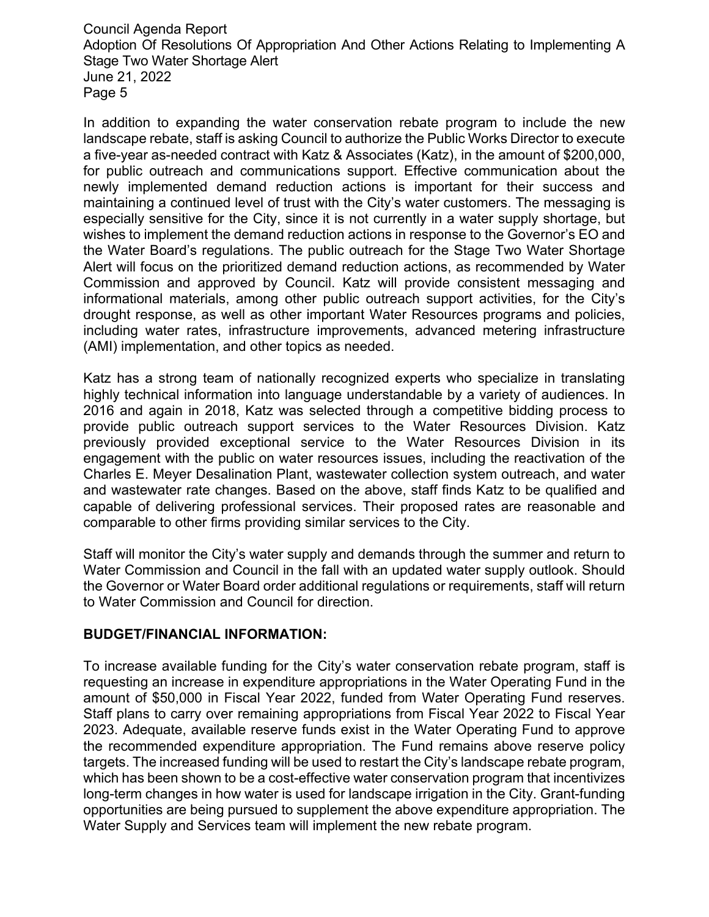In addition to expanding the water conservation rebate program to include the new landscape rebate, staff is asking Council to authorize the Public Works Director to execute a five-year as-needed contract with Katz & Associates (Katz), in the amount of \$200,000, for public outreach and communications support. Effective communication about the newly implemented demand reduction actions is important for their success and maintaining a continued level of trust with the City's water customers. The messaging is especially sensitive for the City, since it is not currently in a water supply shortage, but wishes to implement the demand reduction actions in response to the Governor's EO and the Water Board's regulations. The public outreach for the Stage Two Water Shortage Alert will focus on the prioritized demand reduction actions, as recommended by Water Commission and approved by Council. Katz will provide consistent messaging and informational materials, among other public outreach support activities, for the City's drought response, as well as other important Water Resources programs and policies, including water rates, infrastructure improvements, advanced metering infrastructure (AMI) implementation, and other topics as needed.

Katz has a strong team of nationally recognized experts who specialize in translating highly technical information into language understandable by a variety of audiences. In 2016 and again in 2018, Katz was selected through a competitive bidding process to provide public outreach support services to the Water Resources Division. Katz previously provided exceptional service to the Water Resources Division in its engagement with the public on water resources issues, including the reactivation of the Charles E. Meyer Desalination Plant, wastewater collection system outreach, and water and wastewater rate changes. Based on the above, staff finds Katz to be qualified and capable of delivering professional services. Their proposed rates are reasonable and comparable to other firms providing similar services to the City.

Staff will monitor the City's water supply and demands through the summer and return to Water Commission and Council in the fall with an updated water supply outlook. Should the Governor or Water Board order additional regulations or requirements, staff will return to Water Commission and Council for direction.

#### **BUDGET/FINANCIAL INFORMATION:**

To increase available funding for the City's water conservation rebate program, staff is requesting an increase in expenditure appropriations in the Water Operating Fund in the amount of \$50,000 in Fiscal Year 2022, funded from Water Operating Fund reserves. Staff plans to carry over remaining appropriations from Fiscal Year 2022 to Fiscal Year 2023. Adequate, available reserve funds exist in the Water Operating Fund to approve the recommended expenditure appropriation. The Fund remains above reserve policy targets. The increased funding will be used to restart the City's landscape rebate program, which has been shown to be a cost-effective water conservation program that incentivizes long-term changes in how water is used for landscape irrigation in the City. Grant-funding opportunities are being pursued to supplement the above expenditure appropriation. The Water Supply and Services team will implement the new rebate program.